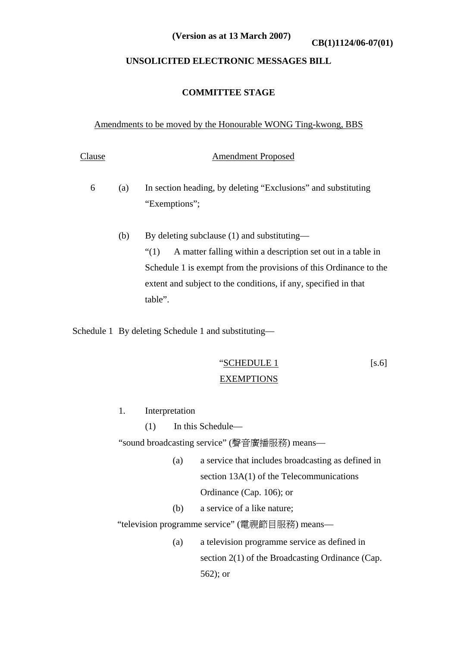**CB(1)1124/06-07(01) (Version as at 13 March 2007)**

# **UNSOLICITED ELECTRONIC MESSAGES BILL**

## **COMMITTEE STAGE**

#### Amendments to be moved by the Honourable WONG Ting-kwong, BBS

# Clause Amendment Proposed

- 6 (a) In section heading, by deleting "Exclusions" and substituting "Exemptions";
	- (b) By deleting subclause (1) and substituting— "(1) A matter falling within a description set out in a table in Schedule 1 is exempt from the provisions of this Ordinance to the extent and subject to the conditions, if any, specified in that table".

Schedule 1 By deleting Schedule 1 and substituting—

 "SCHEDULE 1 [s.6] EXEMPTIONS

- 1. Interpretation
	- (1) In this Schedule—

"sound broadcasting service" (聲音廣播服務) means—

- (a) a service that includes broadcasting as defined in section 13A(1) of the Telecommunications Ordinance (Cap. 106); or
- (b) a service of a like nature;

"television programme service" (電視節目服務) means—

(a) a television programme service as defined in section 2(1) of the Broadcasting Ordinance (Cap. 562); or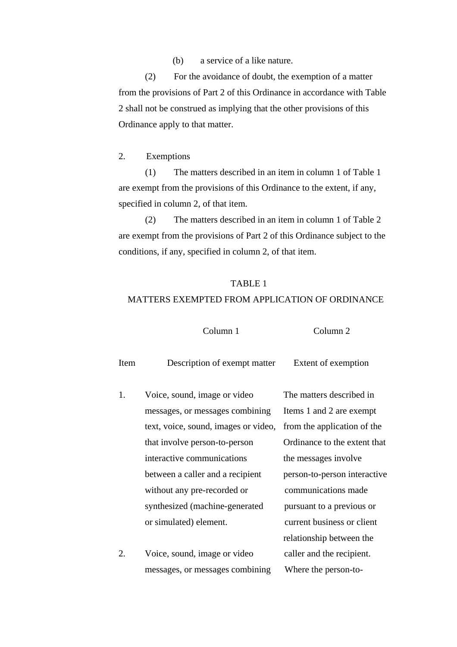(b) a service of a like nature.

(2) For the avoidance of doubt, the exemption of a matter from the provisions of Part 2 of this Ordinance in accordance with Table 2 shall not be construed as implying that the other provisions of this Ordinance apply to that matter.

2. Exemptions

(1) The matters described in an item in column 1 of Table 1 are exempt from the provisions of this Ordinance to the extent, if any, specified in column 2, of that item.

(2) The matters described in an item in column 1 of Table 2 are exempt from the provisions of Part 2 of this Ordinance subject to the conditions, if any, specified in column 2, of that item.

## TABLE 1

# MATTERS EXEMPTED FROM APPLICATION OF ORDINANCE

Column 1 Column 2

| Item | Description of exempt matter         | Extent of exemption          |
|------|--------------------------------------|------------------------------|
| 1.   | Voice, sound, image or video         | The matters described in     |
|      | messages, or messages combining      | Items 1 and 2 are exempt     |
|      | text, voice, sound, images or video, | from the application of the  |
|      | that involve person-to-person        | Ordinance to the extent that |
|      | interactive communications           | the messages involve         |
|      | between a caller and a recipient     | person-to-person interactive |
|      | without any pre-recorded or          | communications made          |
|      | synthesized (machine-generated       | pursuant to a previous or    |
|      | or simulated) element.               | current business or client   |
|      |                                      | relationship between the     |
| 2.   | Voice, sound, image or video         | caller and the recipient.    |
|      | messages, or messages combining      | Where the person-to-         |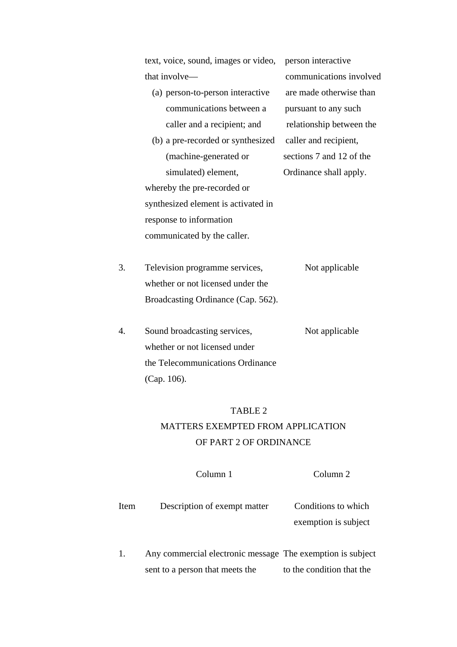| text, voice, sound, images or video, person |       |
|---------------------------------------------|-------|
| that involve—                               |       |
| (a) person-to-person interactive            | are r |
| communications between a                    | purst |
|                                             |       |

(b) a pre-recorded or synthesized caller and recipient, (machine-generated or sections 7 and 12 of the simulated) element, Cordinance shall apply. whereby the pre-recorded or

synthesized element is activated in response to information communicated by the caller.

on interactive munications involved made otherwise than uant to any such caller and a recipient; and relationship between the

3. Television programme services, Not applicable whether or not licensed under the Broadcasting Ordinance (Cap. 562).

4. Sound broadcasting services, Not applicable whether or not licensed under the Telecommunications Ordinance (Cap. 106).

#### TABLE 2

# MATTERS EXEMPTED FROM APPLICATION OF PART 2 OF ORDINANCE

 Column 1 Column 2 Item Description of exempt matter Conditions to which exemption is subject

1. Any commercial electronic message The exemption is subject sent to a person that meets the to the condition that the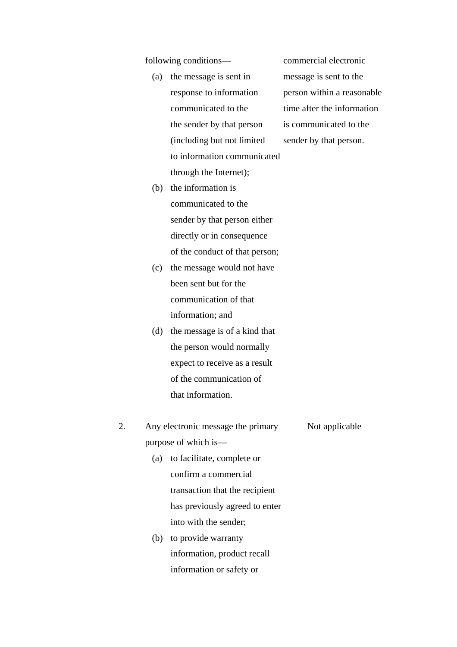following conditions— commercial electronic

 (a) the message is sent in message is sent to the response to information person within a reasonable communicated to the time after the information the sender by that person is communicated to the (including but not limited sender by that person. to information communicated through the Internet);

- (b) the information is communicated to the sender by that person either directly or in consequence of the conduct of that person;
- (c) the message would not have been sent but for the communication of that information; and
- (d) the message is of a kind that the person would normally expect to receive as a result of the communication of that information.
- 2. Any electronic message the primary Not applicable purpose of which is— (a) to facilitate, complete or confirm a commercial transaction that the recipient has previously agreed to enter
	- (b) to provide warranty information, product recall information or safety or

into with the sender;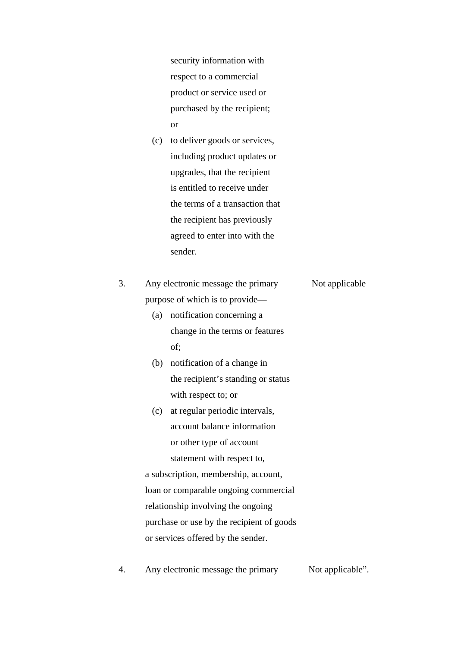security information with respect to a commercial product or service used or purchased by the recipient; or

 (c) to deliver goods or services, including product updates or upgrades, that the recipient is entitled to receive under the terms of a transaction that the recipient has previously agreed to enter into with the sender.

| 3. | Any electronic message the primary | Not applicable |
|----|------------------------------------|----------------|
|    | purpose of which is to provide—    |                |
|    | $\sim$ $\sim$ $\sim$ $\sim$ $\sim$ |                |

- (a) notification concerning a change in the terms or features of;
- (b) notification of a change in the recipient's standing or status with respect to; or
- (c) at regular periodic intervals, account balance information or other type of account statement with respect to,

 a subscription, membership, account, loan or comparable ongoing commercial relationship involving the ongoing purchase or use by the recipient of goods or services offered by the sender.

4. Any electronic message the primary Not applicable".